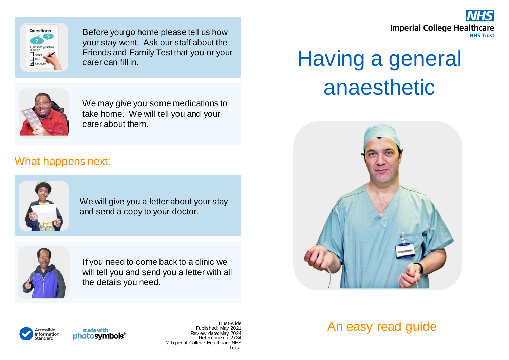



Before you go home please tell us how your stay went. Ask our staff about the Friends and Family Test that you or your carer can fill in.



We may give you some medications to take home. We will tell you and your carer about them.

## What happens next:



We will give you a letter about your stay and send a copy to your doctor.



If you need to come back to a clinic we will tell you and send you a letter with all the details you need.

## Having a general anaesthetic





made with photosymbols®

Trust-wide Published: May 2021 Review date: May 2024 Reference no: 2734 © Imperial College Healthcare NHS Trust

## An easy read guide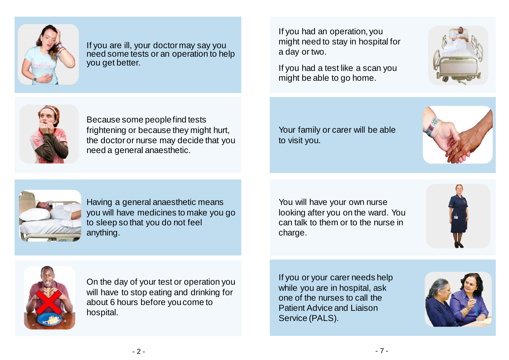

If you are ill, your doctor may say you need some tests or an operation to help you get better.

If you had an operation, you might need to stay in hospital for a day or two.

If you had a test like a scan you might be able to go home.





Because some people find tests frightening or because they might hurt, the doctor or nurse may decide that you need a general anaesthetic.

Your family or carer will be able to visit you.





Having a general anaesthetic means you will have medicines to make you go to sleep so that you do not feel anything.

You will have your own nurse looking after you on the ward. You can talk to them or to the nurse in charge.





On the day of your test or operation you will have to stop eating and drinking for about 6 hours before you come to hospital.

If you or your carer needs help while you are in hospital, ask one of the nurses to call the Patient Advice and Liaison Service (PALS).

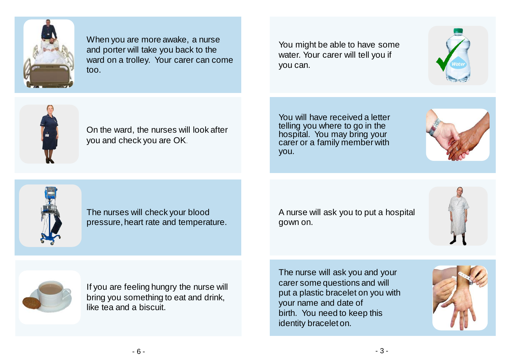

When you are more awake, a nurse and porter will take you back to the ward on a trolley. Your carer can come too.

You might be able to have some water. Your carer will tell you if you can.





On the ward, the nurses will look after you and check you are OK.

You will have received a letter telling you where to go in the hospital. You may bring your carer or a family member with you.





The nurses will check your blood pressure, heart rate and temperature. A nurse will ask you to put a hospital gown on.





If you are feeling hungry the nurse will bring you something to eat and drink, like tea and a biscuit.

The nurse will ask you and your carer some questions and will put a plastic bracelet on you with your name and date of birth. You need to keep this identity bracelet on.